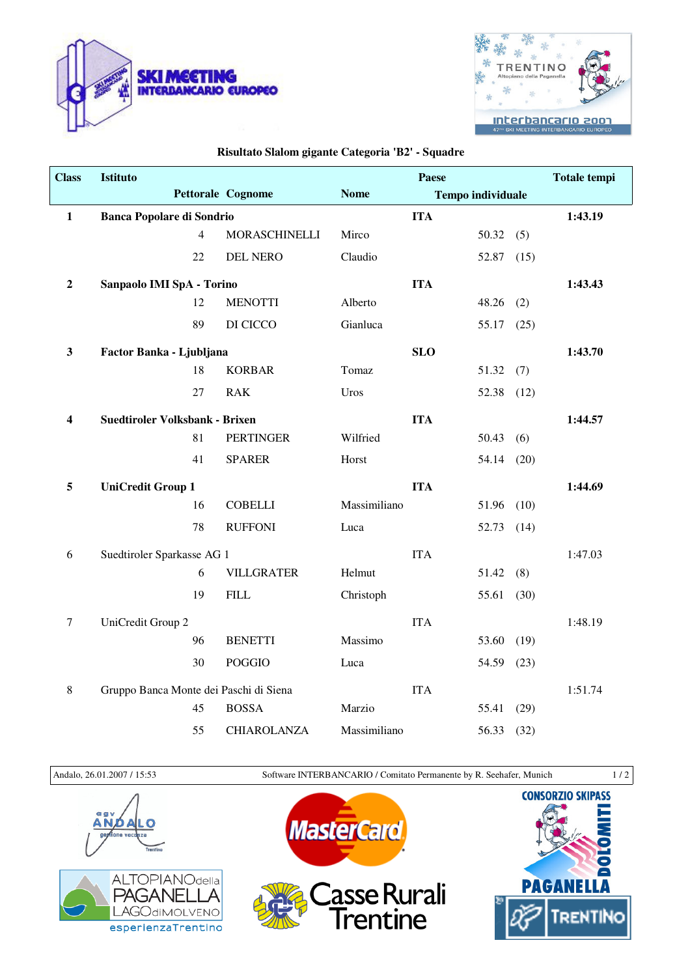



## **Risultato Slalom gigante Categoria 'B2' - Squadre**

| <b>Class</b>   | Istituto                               |                |                      |              | Paese                    |       |      | <b>Totale tempi</b> |
|----------------|----------------------------------------|----------------|----------------------|--------------|--------------------------|-------|------|---------------------|
|                |                                        |                | Pettorale Cognome    | <b>Nome</b>  | <b>Tempo individuale</b> |       |      |                     |
| $\mathbf{1}$   | <b>Banca Popolare di Sondrio</b>       |                |                      |              | <b>ITA</b>               |       |      | 1:43.19             |
|                |                                        | $\overline{4}$ | <b>MORASCHINELLI</b> | Mirco        |                          | 50.32 | (5)  |                     |
|                |                                        | 22             | <b>DEL NERO</b>      | Claudio      |                          | 52.87 | (15) |                     |
| $\overline{2}$ | Sanpaolo IMI SpA - Torino              |                |                      |              | <b>ITA</b>               |       |      | 1:43.43             |
|                |                                        | 12             | <b>MENOTTI</b>       | Alberto      |                          | 48.26 | (2)  |                     |
|                |                                        | 89             | DI CICCO             | Gianluca     |                          | 55.17 | (25) |                     |
| $\mathbf{3}$   | Factor Banka - Ljubljana               |                |                      |              | <b>SLO</b>               |       |      | 1:43.70             |
|                |                                        | 18             | <b>KORBAR</b>        | Tomaz        |                          | 51.32 | (7)  |                     |
|                |                                        | 27             | <b>RAK</b>           | Uros         |                          | 52.38 | (12) |                     |
| 4              | Suedtiroler Volksbank - Brixen         |                |                      |              | <b>ITA</b>               |       |      | 1:44.57             |
|                |                                        | 81             | <b>PERTINGER</b>     | Wilfried     |                          | 50.43 | (6)  |                     |
|                |                                        | 41             | <b>SPARER</b>        | Horst        |                          | 54.14 | (20) |                     |
| 5              | <b>UniCredit Group 1</b>               |                |                      |              | <b>ITA</b>               |       |      | 1:44.69             |
|                |                                        | 16             | <b>COBELLI</b>       | Massimiliano |                          | 51.96 | (10) |                     |
|                |                                        | 78             | <b>RUFFONI</b>       | Luca         |                          | 52.73 | (14) |                     |
| 6              | Suedtiroler Sparkasse AG 1             |                |                      |              | <b>ITA</b>               |       |      | 1:47.03             |
|                |                                        | 6              | <b>VILLGRATER</b>    | Helmut       |                          | 51.42 | (8)  |                     |
|                |                                        | 19             | <b>FILL</b>          | Christoph    |                          | 55.61 | (30) |                     |
| $\tau$         | UniCredit Group 2                      |                |                      |              | <b>ITA</b>               |       |      | 1:48.19             |
|                |                                        | 96             | <b>BENETTI</b>       | Massimo      |                          | 53.60 | (19) |                     |
|                |                                        | 30             | <b>POGGIO</b>        | Luca         |                          | 54.59 | (23) |                     |
| $\,8\,$        | Gruppo Banca Monte dei Paschi di Siena |                |                      |              | <b>ITA</b>               |       |      | 1:51.74             |
|                |                                        | 45             | <b>BOSSA</b>         | Marzio       |                          | 55.41 | (29) |                     |
|                |                                        | 55             | CHIAROLANZA          | Massimiliano |                          | 56.33 | (32) |                     |

Andalo, 26.01.2007 / 15:53 Software INTERBANCARIO / Comitato Permanente by R. Seehafer, Munich 1 / 2